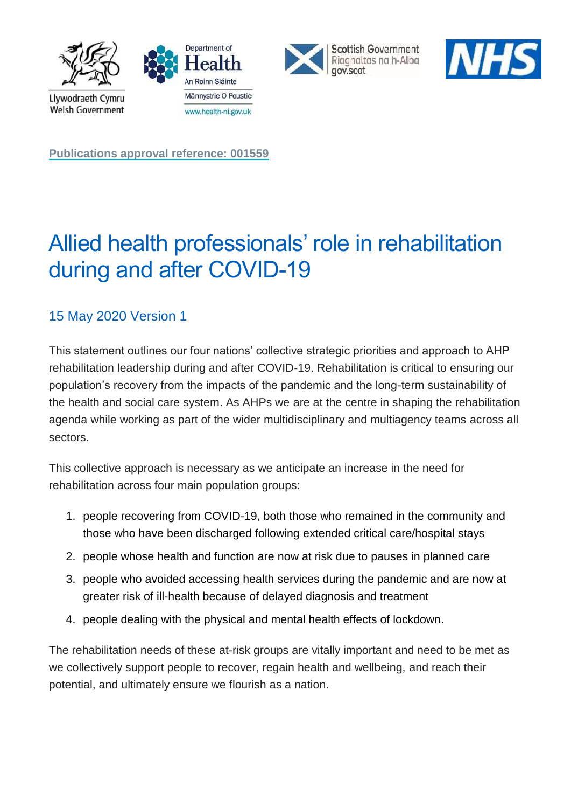







**Publications approval reference: 001559**

# Allied health professionals' role in rehabilitation during and after COVID-19

# 15 May 2020 Version 1

This statement outlines our four nations' collective strategic priorities and approach to AHP rehabilitation leadership during and after COVID-19. Rehabilitation is critical to ensuring our population's recovery from the impacts of the pandemic and the long-term sustainability of the health and social care system. As AHPs we are at the centre in shaping the rehabilitation agenda while working as part of the wider multidisciplinary and multiagency teams across all sectors.

This collective approach is necessary as we anticipate an increase in the need for rehabilitation across four main population groups:

- 1. people recovering from COVID-19, both those who remained in the community and those who have been discharged following extended critical care/hospital stays
- 2. people whose health and function are now at risk due to pauses in planned care
- 3. people who avoided accessing health services during the pandemic and are now at greater risk of ill-health because of delayed diagnosis and treatment
- 4. people dealing with the physical and mental health effects of lockdown.

The rehabilitation needs of these at-risk groups are vitally important and need to be met as we collectively support people to recover, regain health and wellbeing, and reach their potential, and ultimately ensure we flourish as a nation.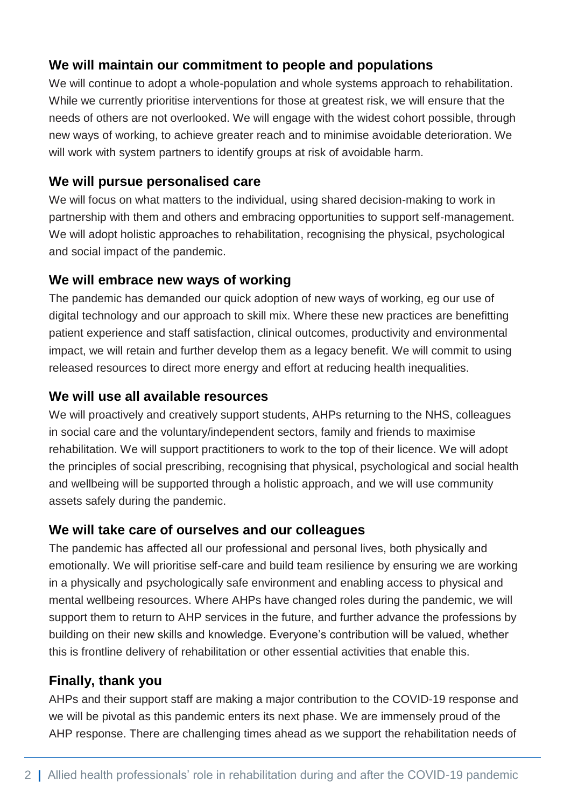### **We will maintain our commitment to people and populations**

We will continue to adopt a whole-population and whole systems approach to rehabilitation. While we currently prioritise interventions for those at greatest risk, we will ensure that the needs of others are not overlooked. We will engage with the widest cohort possible, through new ways of working, to achieve greater reach and to minimise avoidable deterioration. We will work with system partners to identify groups at risk of avoidable harm.

### **We will pursue personalised care**

We will focus on what matters to the individual, using shared decision-making to work in partnership with them and others and embracing opportunities to support self-management. We will adopt holistic approaches to rehabilitation, recognising the physical, psychological and social impact of the pandemic.

## **We will embrace new ways of working**

The pandemic has demanded our quick adoption of new ways of working, eg our use of digital technology and our approach to skill mix. Where these new practices are benefitting patient experience and staff satisfaction, clinical outcomes, productivity and environmental impact, we will retain and further develop them as a legacy benefit. We will commit to using released resources to direct more energy and effort at reducing health inequalities.

## **We will use all available resources**

We will proactively and creatively support students, AHPs returning to the NHS, colleagues in social care and the voluntary/independent sectors, family and friends to maximise rehabilitation. We will support practitioners to work to the top of their licence. We will adopt the principles of social prescribing, recognising that physical, psychological and social health and wellbeing will be supported through a holistic approach, and we will use community assets safely during the pandemic.

### **We will take care of ourselves and our colleagues**

The pandemic has affected all our professional and personal lives, both physically and emotionally. We will prioritise self-care and build team resilience by ensuring we are working in a physically and psychologically safe environment and enabling access to physical and mental wellbeing resources. Where AHPs have changed roles during the pandemic, we will support them to return to AHP services in the future, and further advance the professions by building on their new skills and knowledge. Everyone's contribution will be valued, whether this is frontline delivery of rehabilitation or other essential activities that enable this.

# **Finally, thank you**

AHPs and their support staff are making a major contribution to the COVID-19 response and we will be pivotal as this pandemic enters its next phase. We are immensely proud of the AHP response. There are challenging times ahead as we support the rehabilitation needs of